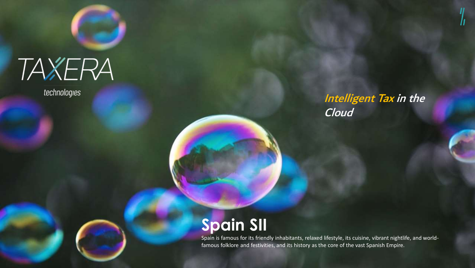## TAXERA

technologies

### Intelligent Tax in the Cloud

### **Spain SII**

Spain is famous for its friendly inhabitants, relaxed lifestyle, its cuisine, vibrant nightlife, and worldfamous folklore and festivities, and its history as the core of the vast Spanish Empire.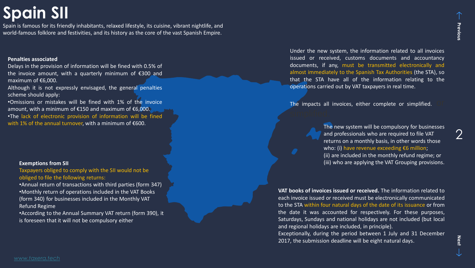### **Spain SII**

Spain is famous for its friendly inhabitants, relaxed lifestyle, its cuisine, vibrant nightlife, and world-famous folklore and festivities, and its history as the core of the vast Spanish Empire.

#### **Penalties associated**

Delays in the provision of information will be fined with 0.5% of the invoice amount, with a quarterly minimum of €300 and maximum of €6,000.

Although it is not expressly envisaged, the general penalties scheme should apply:

•Omissions or mistakes will be fined with 1% of the invoice amount, with a minimum of €150 and maximum of €6,000. •The lack of electronic provision of information will be fined with 1% of the annual turnover, with a minimum of €600.

#### **Exemptions from SII**

Taxpayers obliged to comply with the SII would not be obliged to file the following returns:

•Annual return of transactions with third parties (form 347) •Monthly return of operations included in the VAT Books (form 340) for businesses included in the Monthly VAT Refund Regime

•According to the Annual Summary VAT return (form 390), it is foreseen that it will not be compulsory either

Under the new system, the information related to all invoices issued or received, customs documents and accountancy documents, if any, must be transmitted electronically and almost immediately to the Spanish Tax Authorities (the STA), so that the STA have all of the information relating to the operations carried out by VAT taxpayers in real time.

The impacts all invoices, either complete or simplified.

The new system will be compulsory for businesses and professionals who are required to file VAT returns on a monthly basis, in other words those who: (i) have revenue exceeding €6 million; (ii) are included in the monthly refund regime; or (iii) who are applying the VAT Grouping provisions.

**VAT books of invoices issued or received.** The information related to each invoice issued or received must be electronically communicated to the STA within four natural days of the date of its issuance or from the date it was accounted for respectively. For these purposes, Saturdays, Sundays and national holidays are not included (but local and regional holidays are included, in principle).

Exceptionally, during the period between 1 July and 31 December 2017, the submission deadline will be eight natural days.

2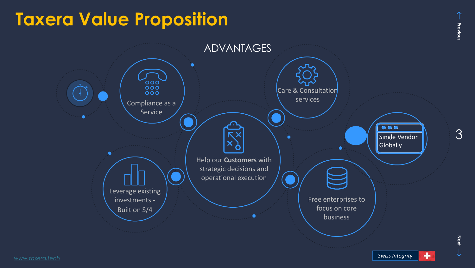## **Taxera Value Proposition**